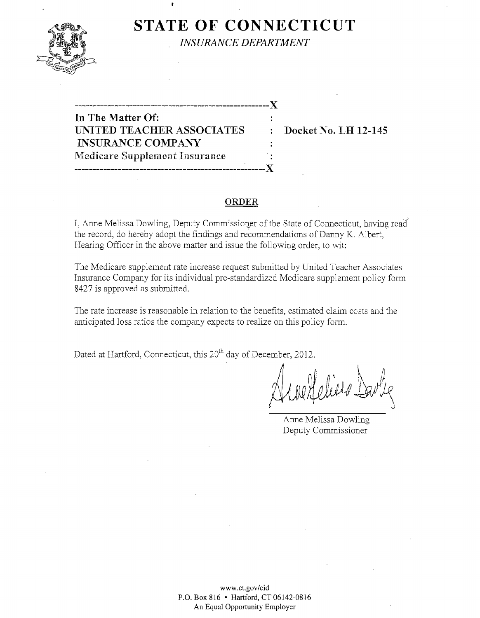

**STATE OF CONNECTICUT** 

*INSURANCE DEPARTMENT* 

------------------------------------------------------)( **In** The Matter Of: UNITED TEACHER ASSOCIATES : Docket No. LH 12-145 INSURANCE COMPANY Medicare Supplement Insurance . -----------------------------------------------------)(

 $\mathbf{r}$ 

### **ORDER**

I, Anne Melissa Dowling, Deputy Commissioner of the State of Connecticut, having read the record, do hereby adopt the fmdings and recommendations of Danny K. Albert, Hearing Officer in the above matter and issue the following order, to wit:

The Medicare supplement rate increase request submitted by United Teacher Associates Insurance Company for its individual pre-standardized Medicare supplement policy form 8427 is approved as submitted.

The rate increase is reasonable in relation to the benefits, estimated claim costs and the anticipated loss ratios the company expects to realize on this policy form.

Dated at Hartford, Connecticut, this 20<sup>th</sup> day of December, 2012.

Anne Melissa Dowling Deputy Commissioner

www.CLgov/cid P.O. Box 816 • Hartford, CT 06142-0816 An Equal Opportunity Employer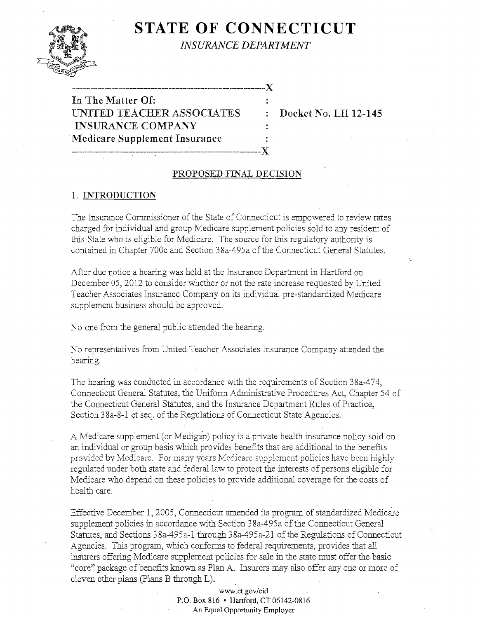# **STATE OF CONNECTICUT**



*INSURANCE DEPARTMENT* 

| In The Matter Of:             |  |
|-------------------------------|--|
| UNITED TEACHER ASSOCIATES     |  |
| <b>INSURANCE COMPANY</b>      |  |
| Medicare Supplement Insurance |  |
|                               |  |

-- $\cdots$ 

Docket No. LH 12-145

## PROPOSED FINAL DECISION

## 1. INTRODUCTION

The Insurance Commissioner of the State of Connecticut is empowered to review rates charged for individual and group Medicare supplement policies sold to any resident of this State who is eligible for Medicare. The source for this regulatory authority is contained in Chapter 700c and Section 38a-495a of the Connecticut General Statutes.

After due notice a hearing was held at the Insurance Department in Hartford on December OS, 2012 to consider whether or not the rate increase requested by United Teacher Associates Insurance Company on its individual pre-standardized Medicare supplement business should be approved.

No one from the general public attended the hearing.

No representatives from United Teacher Associates Insurance Company attended the hearing.

The hearing was conducted in accordance with the requirements of Section 38a-474, Connecticut General Statutes, the Uniform Administrative Procedures Act, Chapter 54 of the Connecticut General Statutes, and the Insurance Department Rules of Practice, Section 38a-8-l et seq. of the Regulations of Connecticut State Agencies.

A Medicare supplement (or Medigap) policy is a private health insurance policy sold on an individual or group basis which provides benefits that are additional to the benefits provided by Medicare. For many years Medicare supplement policies have been highly regulated under both state and federal law to protect the interests of persons eligible for Medicare who depend on these policies to provide additional coverage for the costs of health care.

Effective December 1,2005, Connecticut amended its program of standardized Medicare supplement policies in accordance with Section 38a-495a of the Connecticut General . Statutes, and Sections 38a-495a-1 through 38a-495a-21 of the Regulations of Connecticut Agencies. This program, which conforms to federal requirements, provides that all insurers offering Medicare supplement policies for sale in the state must offer the basic "core" package of benefits known as Plan A. Insurers may also offer anyone or more of eleven other plans (plans B through L).

> www.ct.gov/cid P.O. Box 816 • Hartford, CT 06142-0816 An Equal Opportunity Employer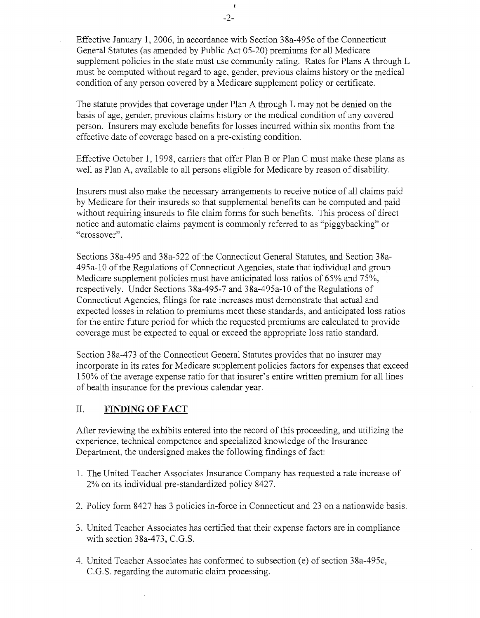Effective January 1, 2006, in accordance with Section 38a-495c of the Connecticut General Statutes (as amended by Public Act 05-20) premiums for all Medicare supplement policies in the state must use community rating. Rates for Plans A through L must be computed without regard to age, gender, previous claims history or the medical condition of any person covered by a Medicare supplement policy or certificate.

The statute provides that coverage under Plan A through L may not be denied on the basis of age, gender, previous claims history or the medical condition of any covered person. Insurers may exclude benefits for losses incurred within six months from the effective date of coverage based on a pre-existing condition.

Effective October 1, 1998, carriers that offer Plan B or Plan C must make these plans as well as Plan A, available to all persons eligible for Medicare by reason of disability.

Insurers must also make the necessary arrangements to receive notice of all claims paid by Medicare for their insureds so that supplemental benefits can be computed and paid without requiring insureds to file claim forms for such benefits. This process of direct notice and automatic claims payment is commonly referred to as "piggybacking" or "crossover".

Sections 38a-495 and 38a-522 of the Connecticut General Statutes, and Section 38a-495a-l0 of the Regulations of Connecticut Agencies, state that individual and group Medicare supplement policies must have anticipated loss ratios of 65% and 75%, respectively. Under Sections 38a-495-7 and 38a-495a-l0 of the Regulations of Connecticut Agencies, filings for rate increases must demonstrate that actual and expected losses in relation to premiums meet these standards, and anticipated loss ratios for the entire future period for which the requested premiums are calculated to provide coverage must be expected to equal or exceed the appropriate loss ratio standard.

Section 38a-473 of the Connecticut General Statutes provides that no insurer may incorporate in its rates for Medicare supplement policies factors for expenses that exceed 150% of the average expense ratio for that insurer's entire written premium for all lines of health insurance for the previous calendar year.

# II. **FINDING OF FACT**

After reviewing the exhibits entered into the record of this proceeding, and utilizing the experience, technical competence and specialized knowledge of the Insurance Department, the undersigned makes the following findings of fact:

- 1. The United Teacher Associates Insurance Company has requested a rate increase of 2% on its individual pre-standardized policy 8427.
- 2. Policy form 8427 has 3 policies in-force in Connecticut and 23 on a nationwide basis.
- 3. United Teacher Associates has certified that their expense factors are in compliance with section  $38a-473$ , C.G.S.
- 4. United Teacher Associates has conformed to subsection (e) of section 38a-495c, C.G.S. regarding the automatic claim processing.